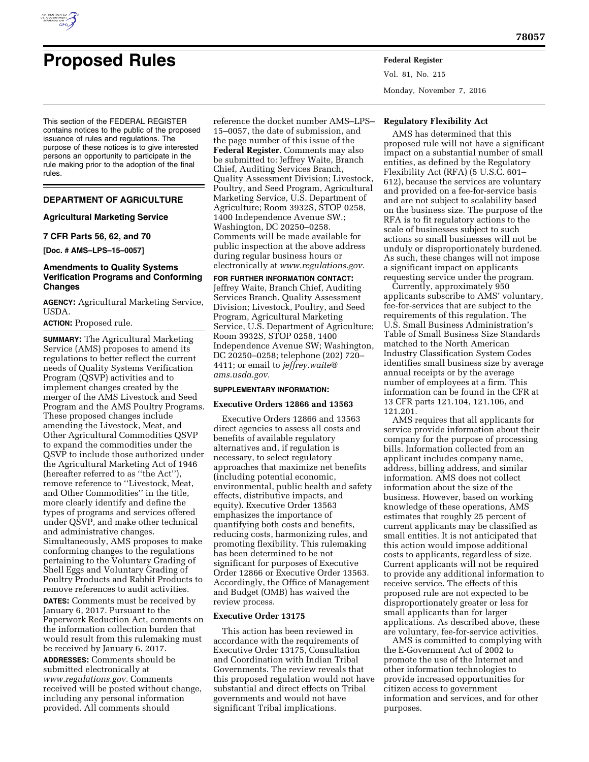

# **Proposed Rules Federal Register**

Vol. 81, No. 215 Monday, November 7, 2016

This section of the FEDERAL REGISTER contains notices to the public of the proposed issuance of rules and regulations. The purpose of these notices is to give interested persons an opportunity to participate in the rule making prior to the adoption of the final rules.

# **DEPARTMENT OF AGRICULTURE**

## **Agricultural Marketing Service**

# **7 CFR Parts 56, 62, and 70**

**[Doc. # AMS–LPS–15–0057]** 

## **Amendments to Quality Systems Verification Programs and Conforming Changes**

**AGENCY:** Agricultural Marketing Service, USDA.

## **ACTION:** Proposed rule.

**SUMMARY:** The Agricultural Marketing Service (AMS) proposes to amend its regulations to better reflect the current needs of Quality Systems Verification Program (QSVP) activities and to implement changes created by the merger of the AMS Livestock and Seed Program and the AMS Poultry Programs. These proposed changes include amending the Livestock, Meat, and Other Agricultural Commodities QSVP to expand the commodities under the QSVP to include those authorized under the Agricultural Marketing Act of 1946 (hereafter referred to as ''the Act''), remove reference to ''Livestock, Meat, and Other Commodities'' in the title, more clearly identify and define the types of programs and services offered under QSVP, and make other technical and administrative changes. Simultaneously, AMS proposes to make conforming changes to the regulations pertaining to the Voluntary Grading of Shell Eggs and Voluntary Grading of Poultry Products and Rabbit Products to remove references to audit activities. **DATES:** Comments must be received by January 6, 2017. Pursuant to the Paperwork Reduction Act, comments on the information collection burden that

would result from this rulemaking must be received by January 6, 2017. **ADDRESSES:** Comments should be

submitted electronically at *[www.regulations.gov.](http://www.regulations.gov)* Comments received will be posted without change, including any personal information provided. All comments should

reference the docket number AMS–LPS– 15–0057, the date of submission, and the page number of this issue of the **Federal Register**. Comments may also be submitted to: Jeffrey Waite, Branch Chief, Auditing Services Branch, Quality Assessment Division; Livestock, Poultry, and Seed Program, Agricultural Marketing Service, U.S. Department of Agriculture; Room 3932S, STOP 0258, 1400 Independence Avenue SW.; Washington, DC 20250–0258. Comments will be made available for public inspection at the above address during regular business hours or electronically at *[www.regulations.gov.](http://www.regulations.gov)* 

**FOR FURTHER INFORMATION CONTACT:**  Jeffrey Waite, Branch Chief, Auditing Services Branch, Quality Assessment Division; Livestock, Poultry, and Seed Program, Agricultural Marketing Service, U.S. Department of Agriculture; Room 3932S, STOP 0258, 1400 Independence Avenue SW; Washington, DC 20250–0258; telephone (202) 720– 4411; or email to *[jeffrey.waite@](mailto:jeffrey.waite@ams.usda.gov) [ams.usda.gov.](mailto:jeffrey.waite@ams.usda.gov)* 

#### **SUPPLEMENTARY INFORMATION:**

#### **Executive Orders 12866 and 13563**

Executive Orders 12866 and 13563 direct agencies to assess all costs and benefits of available regulatory alternatives and, if regulation is necessary, to select regulatory approaches that maximize net benefits (including potential economic, environmental, public health and safety effects, distributive impacts, and equity). Executive Order 13563 emphasizes the importance of quantifying both costs and benefits, reducing costs, harmonizing rules, and promoting flexibility. This rulemaking has been determined to be not significant for purposes of Executive Order 12866 or Executive Order 13563. Accordingly, the Office of Management and Budget (OMB) has waived the review process.

## **Executive Order 13175**

This action has been reviewed in accordance with the requirements of Executive Order 13175, Consultation and Coordination with Indian Tribal Governments. The review reveals that this proposed regulation would not have substantial and direct effects on Tribal governments and would not have significant Tribal implications.

## **Regulatory Flexibility Act**

AMS has determined that this proposed rule will not have a significant impact on a substantial number of small entities, as defined by the Regulatory Flexibility Act (RFA) (5 U.S.C. 601– 612), because the services are voluntary and provided on a fee-for-service basis and are not subject to scalability based on the business size. The purpose of the RFA is to fit regulatory actions to the scale of businesses subject to such actions so small businesses will not be unduly or disproportionately burdened. As such, these changes will not impose a significant impact on applicants requesting service under the program.

Currently, approximately 950 applicants subscribe to AMS' voluntary, fee-for-services that are subject to the requirements of this regulation. The U.S. Small Business Administration's Table of Small Business Size Standards matched to the North American Industry Classification System Codes identifies small business size by average annual receipts or by the average number of employees at a firm. This information can be found in the CFR at 13 CFR parts 121.104, 121.106, and 121.201.

AMS requires that all applicants for service provide information about their company for the purpose of processing bills. Information collected from an applicant includes company name, address, billing address, and similar information. AMS does not collect information about the size of the business. However, based on working knowledge of these operations, AMS estimates that roughly 25 percent of current applicants may be classified as small entities. It is not anticipated that this action would impose additional costs to applicants, regardless of size. Current applicants will not be required to provide any additional information to receive service. The effects of this proposed rule are not expected to be disproportionately greater or less for small applicants than for larger applications. As described above, these are voluntary, fee-for-service activities.

AMS is committed to complying with the E-Government Act of 2002 to promote the use of the Internet and other information technologies to provide increased opportunities for citizen access to government information and services, and for other purposes.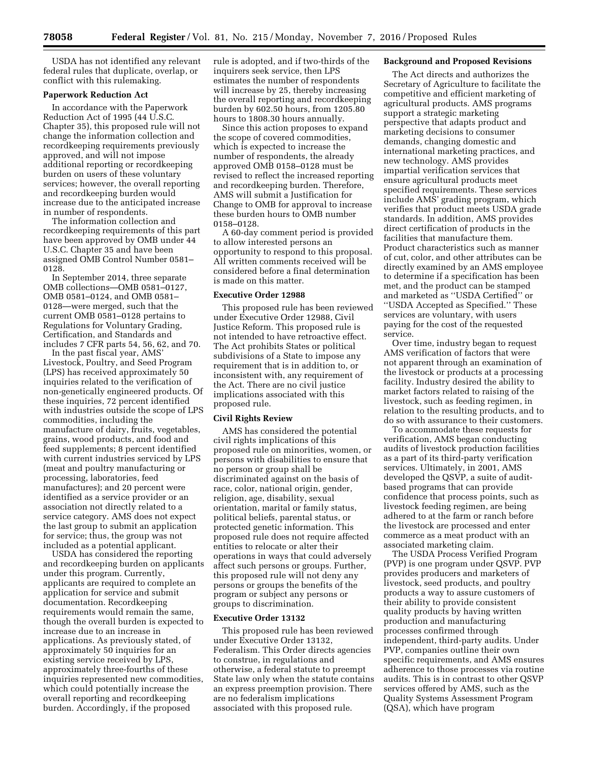USDA has not identified any relevant federal rules that duplicate, overlap, or conflict with this rulemaking.

## **Paperwork Reduction Act**

In accordance with the Paperwork Reduction Act of 1995 (44 U.S.C. Chapter 35), this proposed rule will not change the information collection and recordkeeping requirements previously approved, and will not impose additional reporting or recordkeeping burden on users of these voluntary services; however, the overall reporting and recordkeeping burden would increase due to the anticipated increase in number of respondents.

The information collection and recordkeeping requirements of this part have been approved by OMB under 44 U.S.C. Chapter 35 and have been assigned OMB Control Number 0581– 0128.

In September 2014, three separate OMB collections—OMB 0581–0127, OMB 0581–0124, and OMB 0581– 0128—were merged, such that the current OMB 0581–0128 pertains to Regulations for Voluntary Grading, Certification, and Standards and includes 7 CFR parts 54, 56, 62, and 70.

In the past fiscal year, AMS' Livestock, Poultry, and Seed Program (LPS) has received approximately 50 inquiries related to the verification of non-genetically engineered products. Of these inquiries, 72 percent identified with industries outside the scope of LPS commodities, including the manufacture of dairy, fruits, vegetables, grains, wood products, and food and feed supplements; 8 percent identified with current industries serviced by LPS (meat and poultry manufacturing or processing, laboratories, feed manufactures); and 20 percent were identified as a service provider or an association not directly related to a service category. AMS does not expect the last group to submit an application for service; thus, the group was not included as a potential applicant.

USDA has considered the reporting and recordkeeping burden on applicants under this program. Currently, applicants are required to complete an application for service and submit documentation. Recordkeeping requirements would remain the same, though the overall burden is expected to increase due to an increase in applications. As previously stated, of approximately 50 inquiries for an existing service received by LPS, approximately three-fourths of these inquiries represented new commodities, which could potentially increase the overall reporting and recordkeeping burden. Accordingly, if the proposed

rule is adopted, and if two-thirds of the inquirers seek service, then LPS estimates the number of respondents will increase by 25, thereby increasing the overall reporting and recordkeeping burden by 602.50 hours, from 1205.80 hours to 1808.30 hours annually.

Since this action proposes to expand the scope of covered commodities, which is expected to increase the number of respondents, the already approved OMB 0158–0128 must be revised to reflect the increased reporting and recordkeeping burden. Therefore, AMS will submit a Justification for Change to OMB for approval to increase these burden hours to OMB number 0158–0128.

A 60-day comment period is provided to allow interested persons an opportunity to respond to this proposal. All written comments received will be considered before a final determination is made on this matter.

## **Executive Order 12988**

This proposed rule has been reviewed under Executive Order 12988, Civil Justice Reform. This proposed rule is not intended to have retroactive effect. The Act prohibits States or political subdivisions of a State to impose any requirement that is in addition to, or inconsistent with, any requirement of the Act. There are no civil justice implications associated with this proposed rule.

## **Civil Rights Review**

AMS has considered the potential civil rights implications of this proposed rule on minorities, women, or persons with disabilities to ensure that no person or group shall be discriminated against on the basis of race, color, national origin, gender, religion, age, disability, sexual orientation, marital or family status, political beliefs, parental status, or protected genetic information. This proposed rule does not require affected entities to relocate or alter their operations in ways that could adversely affect such persons or groups. Further, this proposed rule will not deny any persons or groups the benefits of the program or subject any persons or groups to discrimination.

## **Executive Order 13132**

This proposed rule has been reviewed under Executive Order 13132, Federalism. This Order directs agencies to construe, in regulations and otherwise, a federal statute to preempt State law only when the statute contains an express preemption provision. There are no federalism implications associated with this proposed rule.

## **Background and Proposed Revisions**

The Act directs and authorizes the Secretary of Agriculture to facilitate the competitive and efficient marketing of agricultural products. AMS programs support a strategic marketing perspective that adapts product and marketing decisions to consumer demands, changing domestic and international marketing practices, and new technology. AMS provides impartial verification services that ensure agricultural products meet specified requirements. These services include AMS' grading program, which verifies that product meets USDA grade standards. In addition, AMS provides direct certification of products in the facilities that manufacture them. Product characteristics such as manner of cut, color, and other attributes can be directly examined by an AMS employee to determine if a specification has been met, and the product can be stamped and marketed as ''USDA Certified'' or ''USDA Accepted as Specified.'' These services are voluntary, with users paying for the cost of the requested service.

Over time, industry began to request AMS verification of factors that were not apparent through an examination of the livestock or products at a processing facility. Industry desired the ability to market factors related to raising of the livestock, such as feeding regimen, in relation to the resulting products, and to do so with assurance to their customers.

To accommodate these requests for verification, AMS began conducting audits of livestock production facilities as a part of its third-party verification services. Ultimately, in 2001, AMS developed the QSVP, a suite of auditbased programs that can provide confidence that process points, such as livestock feeding regimen, are being adhered to at the farm or ranch before the livestock are processed and enter commerce as a meat product with an associated marketing claim.

The USDA Process Verified Program (PVP) is one program under QSVP. PVP provides producers and marketers of livestock, seed products, and poultry products a way to assure customers of their ability to provide consistent quality products by having written production and manufacturing processes confirmed through independent, third-party audits. Under PVP, companies outline their own specific requirements, and AMS ensures adherence to those processes via routine audits. This is in contrast to other QSVP services offered by AMS, such as the Quality Systems Assessment Program (QSA), which have program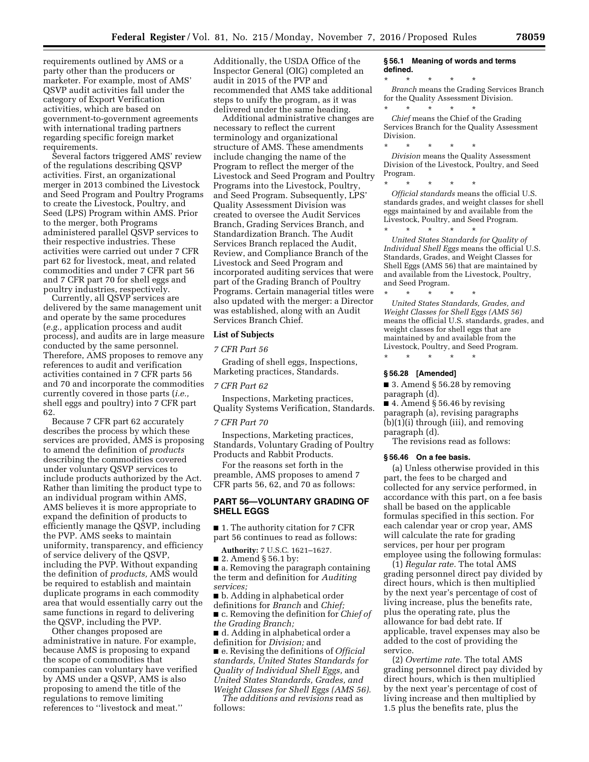requirements outlined by AMS or a party other than the producers or marketer. For example, most of AMS' QSVP audit activities fall under the category of Export Verification activities, which are based on government-to-government agreements with international trading partners regarding specific foreign market requirements.

Several factors triggered AMS' review of the regulations describing QSVP activities. First, an organizational merger in 2013 combined the Livestock and Seed Program and Poultry Programs to create the Livestock, Poultry, and Seed (LPS) Program within AMS. Prior to the merger, both Programs administered parallel QSVP services to their respective industries. These activities were carried out under 7 CFR part 62 for livestock, meat, and related commodities and under 7 CFR part 56 and 7 CFR part 70 for shell eggs and poultry industries, respectively.

Currently, all QSVP services are delivered by the same management unit and operate by the same procedures (*e.g.,* application process and audit process), and audits are in large measure conducted by the same personnel. Therefore, AMS proposes to remove any references to audit and verification activities contained in 7 CFR parts 56 and 70 and incorporate the commodities currently covered in those parts (*i.e.,*  shell eggs and poultry) into 7 CFR part 62.

Because 7 CFR part 62 accurately describes the process by which these services are provided, AMS is proposing to amend the definition of *products*  describing the commodities covered under voluntary QSVP services to include products authorized by the Act. Rather than limiting the product type to an individual program within AMS, AMS believes it is more appropriate to expand the definition of products to efficiently manage the QSVP, including the PVP. AMS seeks to maintain uniformity, transparency, and efficiency of service delivery of the QSVP, including the PVP. Without expanding the definition of *products,* AMS would be required to establish and maintain duplicate programs in each commodity area that would essentially carry out the same functions in regard to delivering the QSVP, including the PVP.

Other changes proposed are administrative in nature. For example, because AMS is proposing to expand the scope of commodities that companies can voluntary have verified by AMS under a QSVP, AMS is also proposing to amend the title of the regulations to remove limiting references to ''livestock and meat.''

Additionally, the USDA Office of the Inspector General (OIG) completed an audit in 2015 of the PVP and recommended that AMS take additional steps to unify the program, as it was delivered under the same heading.

Additional administrative changes are necessary to reflect the current terminology and organizational structure of AMS. These amendments include changing the name of the Program to reflect the merger of the Livestock and Seed Program and Poultry Programs into the Livestock, Poultry, and Seed Program. Subsequently, LPS' Quality Assessment Division was created to oversee the Audit Services Branch, Grading Services Branch, and Standardization Branch. The Audit Services Branch replaced the Audit, Review, and Compliance Branch of the Livestock and Seed Program and incorporated auditing services that were part of the Grading Branch of Poultry Programs. Certain managerial titles were also updated with the merger: a Director was established, along with an Audit Services Branch Chief.

## **List of Subjects**

#### *7 CFR Part 56*

Grading of shell eggs, Inspections, Marketing practices, Standards.

#### *7 CFR Part 62*

Inspections, Marketing practices, Quality Systems Verification, Standards.

#### *7 CFR Part 70*

Inspections, Marketing practices, Standards, Voluntary Grading of Poultry Products and Rabbit Products.

For the reasons set forth in the preamble, AMS proposes to amend 7 CFR parts 56, 62, and 70 as follows:

# **PART 56—VOLUNTARY GRADING OF SHELL EGGS**

■ 1. The authority citation for 7 CFR part 56 continues to read as follows:

**Authority:** 7 U.S.C. 1621–1627.

■ 2. Amend § 56.1 by:

■ a. Removing the paragraph containing the term and definition for *Auditing services;* 

■ b. Adding in alphabetical order definitions for *Branch* and *Chief;*  ■ c. Removing the definition for *Chief of* 

*the Grading Branch;* 

■ d. Adding in alphabetical order a definition for *Division;* and

■ e. Revising the definitions of *Official standards, United States Standards for Quality of Individual Shell Eggs,* and *United States Standards, Grades, and Weight Classes for Shell Eggs (AMS 56).* 

*The additions and revisions* read as follows:

#### **§ 56.1 Meaning of words and terms defined.**

\* \* \* \* \*

*Branch* means the Grading Services Branch for the Quality Assessment Division.

\* \* \* \* \* *Chief* means the Chief of the Grading Services Branch for the Quality Assessment Division.

\* \* \* \* \* *Division* means the Quality Assessment Division of the Livestock, Poultry, and Seed Program.

\* \* \* \* \*

*Official standards* means the official U.S. standards grades, and weight classes for shell eggs maintained by and available from the Livestock, Poultry, and Seed Program. <br>  $\begin{array}{ccc} * & * & * & * \\ \end{array}$ 

\* \* \* \* \* *United States Standards for Quality of Individual Shell Eggs* means the official U.S. Standards, Grades, and Weight Classes for Shell Eggs (AMS 56) that are maintained by and available from the Livestock, Poultry, and Seed Program.

\* \* \* \* \* *United States Standards, Grades, and Weight Classes for Shell Eggs (AMS 56)*  means the official U.S. standards, grades, and weight classes for shell eggs that are maintained by and available from the Livestock, Poultry, and Seed Program.

#### **§ 56.28 [Amended]**

\* \* \* \* \*

■ 3. Amend § 56.28 by removing paragraph (d).

■ 4. Amend § 56.46 by revising paragraph (a), revising paragraphs (b)(1)(i) through (iii), and removing paragraph (d).

The revisions read as follows:

#### **§ 56.46 On a fee basis.**

(a) Unless otherwise provided in this part, the fees to be charged and collected for any service performed, in accordance with this part, on a fee basis shall be based on the applicable formulas specified in this section. For each calendar year or crop year, AMS will calculate the rate for grading services, per hour per program employee using the following formulas:

(1) *Regular rate.* The total AMS grading personnel direct pay divided by direct hours, which is then multiplied by the next year's percentage of cost of living increase, plus the benefits rate, plus the operating rate, plus the allowance for bad debt rate. If applicable, travel expenses may also be added to the cost of providing the service.

(2) *Overtime rate.* The total AMS grading personnel direct pay divided by direct hours, which is then multiplied by the next year's percentage of cost of living increase and then multiplied by 1.5 plus the benefits rate, plus the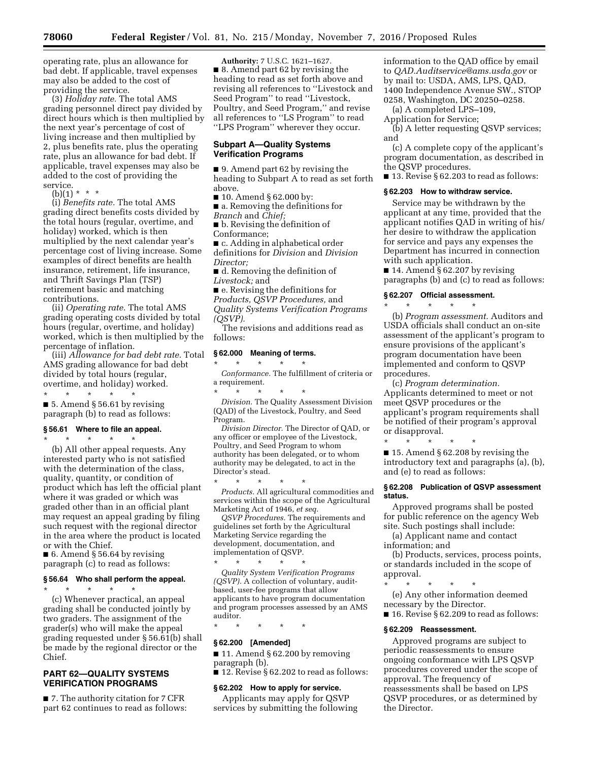operating rate, plus an allowance for bad debt. If applicable, travel expenses may also be added to the cost of providing the service.

(3) *Holiday rate.* The total AMS grading personnel direct pay divided by direct hours which is then multiplied by the next year's percentage of cost of living increase and then multiplied by 2, plus benefits rate, plus the operating rate, plus an allowance for bad debt. If applicable, travel expenses may also be added to the cost of providing the service.

 $(b)(1) * * * *$ 

(i) *Benefits rate.* The total AMS grading direct benefits costs divided by the total hours (regular, overtime, and holiday) worked, which is then multiplied by the next calendar year's percentage cost of living increase. Some examples of direct benefits are health insurance, retirement, life insurance, and Thrift Savings Plan (TSP) retirement basic and matching contributions.

(ii) *Operating rate.* The total AMS grading operating costs divided by total hours (regular, overtime, and holiday) worked, which is then multiplied by the percentage of inflation.

(iii) *Allowance for bad debt rate.* Total AMS grading allowance for bad debt divided by total hours (regular, overtime, and holiday) worked. \* \* \* \* \*

■ 5. Amend § 56.61 by revising paragraph (b) to read as follows:

## **§ 56.61 Where to file an appeal.**

\* \* \* \* \* (b) All other appeal requests. Any interested party who is not satisfied with the determination of the class, quality, quantity, or condition of product which has left the official plant where it was graded or which was graded other than in an official plant may request an appeal grading by filing such request with the regional director in the area where the product is located or with the Chief.

■ 6. Amend § 56.64 by revising paragraph (c) to read as follows:

# **§ 56.64 Who shall perform the appeal.**  \* \* \* \* \*

(c) Whenever practical, an appeal grading shall be conducted jointly by two graders. The assignment of the grader(s) who will make the appeal grading requested under § 56.61(b) shall be made by the regional director or the Chief.

# **PART 62—QUALITY SYSTEMS VERIFICATION PROGRAMS**

■ 7. The authority citation for 7 CFR part 62 continues to read as follows:

**Authority:** 7 U.S.C. 1621–1627. ■ 8. Amend part 62 by revising the heading to read as set forth above and revising all references to ''Livestock and Seed Program'' to read ''Livestock, Poultry, and Seed Program,'' and revise all references to ''LS Program'' to read ''LPS Program'' wherever they occur.

## **Subpart A—Quality Systems Verification Programs**

■ 9. Amend part 62 by revising the heading to Subpart A to read as set forth above.

■ 10. Amend § 62.000 by:

■ a. Removing the definitions for

*Branch* and *Chief;* 

■ b. Revising the definition of

Conformance;

- c. Adding in alphabetical order definitions for *Division* and *Division*
- *Director;*

■ d. Removing the definition of *Livestock;* and

■ e. Revising the definitions for

*Products, QSVP Procedures,* and *Quality Systems Verification Programs (QSVP).* 

The revisions and additions read as follows:

# **§ 62.000 Meaning of terms.**

\* \* \* \* \* *Conformance.* The fulfillment of criteria or a requirement.

\* \* \* \* \* *Division.* The Quality Assessment Division (QAD) of the Livestock, Poultry, and Seed Program.

*Division Director.* The Director of QAD, or any officer or employee of the Livestock, Poultry, and Seed Program to whom authority has been delegated, or to whom authority may be delegated, to act in the Director's stead.

\* \* \* \* \* *Products.* All agricultural commodities and services within the scope of the Agricultural Marketing Act of 1946, *et seq.* 

*QSVP Procedures.* The requirements and guidelines set forth by the Agricultural Marketing Service regarding the development, documentation, and implementation of QSVP.

\* \* \* \* \* *Quality System Verification Programs (QSVP).* A collection of voluntary, auditbased, user-fee programs that allow applicants to have program documentation and program processes assessed by an AMS auditor.

\* \* \* \* \*

#### **§ 62.200 [Amended]**

■ 11. Amend § 62.200 by removing paragraph (b).

■ 12. Revise § 62.202 to read as follows:

## **§ 62.202 How to apply for service.**

Applicants may apply for QSVP services by submitting the following information to the QAD office by email to *[QAD.Auditservice@ams.usda.gov](mailto:QAD.Auditservice@ams.usda.gov)* or by mail to: USDA, AMS, LPS, QAD, 1400 Independence Avenue SW., STOP 0258, Washington, DC 20250–0258.

(a) A completed LPS–109,

Application for Service;

(b) A letter requesting QSVP services; and

(c) A complete copy of the applicant's program documentation, as described in the QSVP procedures.

■ 13. Revise § 62.203 to read as follows:

#### **§ 62.203 How to withdraw service.**

Service may be withdrawn by the applicant at any time, provided that the applicant notifies QAD in writing of his/ her desire to withdraw the application for service and pays any expenses the Department has incurred in connection with such application.

■ 14. Amend § 62.207 by revising paragraphs (b) and (c) to read as follows:

#### **§ 62.207 Official assessment.**

\* \* \* \* \* (b) *Program assessment.* Auditors and USDA officials shall conduct an on-site assessment of the applicant's program to ensure provisions of the applicant's program documentation have been implemented and conform to QSVP procedures.

(c) *Program determination.*  Applicants determined to meet or not meet QSVP procedures or the applicant's program requirements shall be notified of their program's approval or disapproval.

\* \* \* \* \* ■ 15. Amend § 62.208 by revising the introductory text and paragraphs (a), (b), and (e) to read as follows:

## **§ 62.208 Publication of QSVP assessment status.**

Approved programs shall be posted for public reference on the agency Web site. Such postings shall include:

(a) Applicant name and contact

information; and

(b) Products, services, process points, or standards included in the scope of approval.

\* \* \* \* \* (e) Any other information deemed

necessary by the Director.

■ 16. Revise § 62.209 to read as follows:

#### **§ 62.209 Reassessment.**

Approved programs are subject to periodic reassessments to ensure ongoing conformance with LPS QSVP procedures covered under the scope of approval. The frequency of reassessments shall be based on LPS QSVP procedures, or as determined by the Director.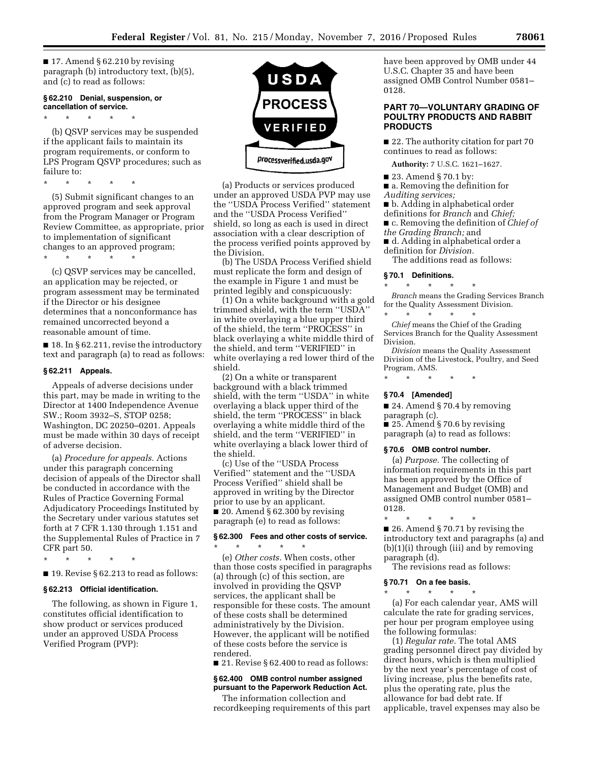$\blacksquare$  17. Amend § 62.210 by revising paragraph (b) introductory text, (b)(5), and (c) to read as follows:

## **§ 62.210 Denial, suspension, or cancellation of service.**

\* \* \* \* \*

(b) QSVP services may be suspended if the applicant fails to maintain its program requirements, or conform to LPS Program QSVP procedures; such as failure to:

\* \* \* \* \*

(5) Submit significant changes to an approved program and seek approval from the Program Manager or Program Review Committee, as appropriate, prior to implementation of significant changes to an approved program;

\* \* \* \* \*

(c) QSVP services may be cancelled, an application may be rejected, or program assessment may be terminated if the Director or his designee determines that a nonconformance has remained uncorrected beyond a reasonable amount of time.

■ 18. In § 62.211, revise the introductory text and paragraph (a) to read as follows:

#### **§ 62.211 Appeals.**

Appeals of adverse decisions under this part, may be made in writing to the Director at 1400 Independence Avenue SW.; Room 3932–S, STOP 0258; Washington, DC 20250–0201. Appeals must be made within 30 days of receipt of adverse decision.

(a) *Procedure for appeals.* Actions under this paragraph concerning decision of appeals of the Director shall be conducted in accordance with the Rules of Practice Governing Formal Adjudicatory Proceedings Instituted by the Secretary under various statutes set forth at 7 CFR 1.130 through 1.151 and the Supplemental Rules of Practice in 7 CFR part 50.

\* \* \* \* \*

 $\blacksquare$  19. Revise § 62.213 to read as follows:

## **§ 62.213 Official identification.**

The following, as shown in Figure 1, constitutes official identification to show product or services produced under an approved USDA Process Verified Program (PVP):



(a) Products or services produced under an approved USDA PVP may use the ''USDA Process Verified'' statement and the ''USDA Process Verified'' shield, so long as each is used in direct association with a clear description of the process verified points approved by the Division.

(b) The USDA Process Verified shield must replicate the form and design of the example in Figure 1 and must be printed legibly and conspicuously:

(1) On a white background with a gold trimmed shield, with the term ''USDA'' in white overlaying a blue upper third of the shield, the term ''PROCESS'' in black overlaying a white middle third of the shield, and term ''VERIFIED'' in white overlaying a red lower third of the shield.

(2) On a white or transparent background with a black trimmed shield, with the term ''USDA'' in white overlaying a black upper third of the shield, the term ''PROCESS'' in black overlaying a white middle third of the shield, and the term ''VERIFIED'' in white overlaying a black lower third of the shield.

(c) Use of the ''USDA Process Verified'' statement and the ''USDA Process Verified'' shield shall be approved in writing by the Director prior to use by an applicant.  $\blacksquare$  20. Amend § 62.300 by revising paragraph (e) to read as follows:

## **§ 62.300 Fees and other costs of service.**

\* \* \* \* \*

(e) *Other costs.* When costs, other than those costs specified in paragraphs (a) through (c) of this section, are involved in providing the QSVP services, the applicant shall be responsible for these costs. The amount of these costs shall be determined administratively by the Division. However, the applicant will be notified of these costs before the service is rendered.

■ 21. Revise § 62.400 to read as follows:

#### **§ 62.400 OMB control number assigned pursuant to the Paperwork Reduction Act.**

The information collection and recordkeeping requirements of this part have been approved by OMB under 44 U.S.C. Chapter 35 and have been assigned OMB Control Number 0581– 0128.

## **PART 70—VOLUNTARY GRADING OF POULTRY PRODUCTS AND RABBIT PRODUCTS**

■ 22. The authority citation for part 70 continues to read as follows:

**Authority:** 7 U.S.C. 1621–1627.

- 23. Amend § 70.1 by:
- a. Removing the definition for
- *Auditing services;*
- b. Adding in alphabetical order
- definitions for *Branch* and *Chief;*
- c. Removing the definition of *Chief of*
- *the Grading Branch;* and
- d. Adding in alphabetical order a definition for *Division.*

The additions read as follows:

#### **§ 70.1 Definitions.**

\* \* \* \* \* *Branch* means the Grading Services Branch for the Quality Assessment Division.

\* \* \* \* \* *Chief* means the Chief of the Grading Services Branch for the Quality Assessment

Division. *Division* means the Quality Assessment Division of the Livestock, Poultry, and Seed Program, AMS.

\* \* \* \* \*

#### **§ 70.4 [Amended]**

■ 24. Amend § 70.4 by removing paragraph (c).

■ 25. Amend § 70.6 by revising paragraph (a) to read as follows:

#### **§ 70.6 OMB control number.**

(a) *Purpose.* The collecting of information requirements in this part has been approved by the Office of Management and Budget (OMB) and assigned OMB control number 0581– 0128.

\* \* \* \* \* ■ 26. Amend § 70.71 by revising the introductory text and paragraphs (a) and (b)(1)(i) through (iii) and by removing paragraph (d).

The revisions read as follows:

## **§ 70.71 On a fee basis.**  \* \* \* \* \*

(a) For each calendar year, AMS will calculate the rate for grading services, per hour per program employee using the following formulas:

(1) *Regular rate.* The total AMS grading personnel direct pay divided by direct hours, which is then multiplied by the next year's percentage of cost of living increase, plus the benefits rate, plus the operating rate, plus the allowance for bad debt rate. If applicable, travel expenses may also be